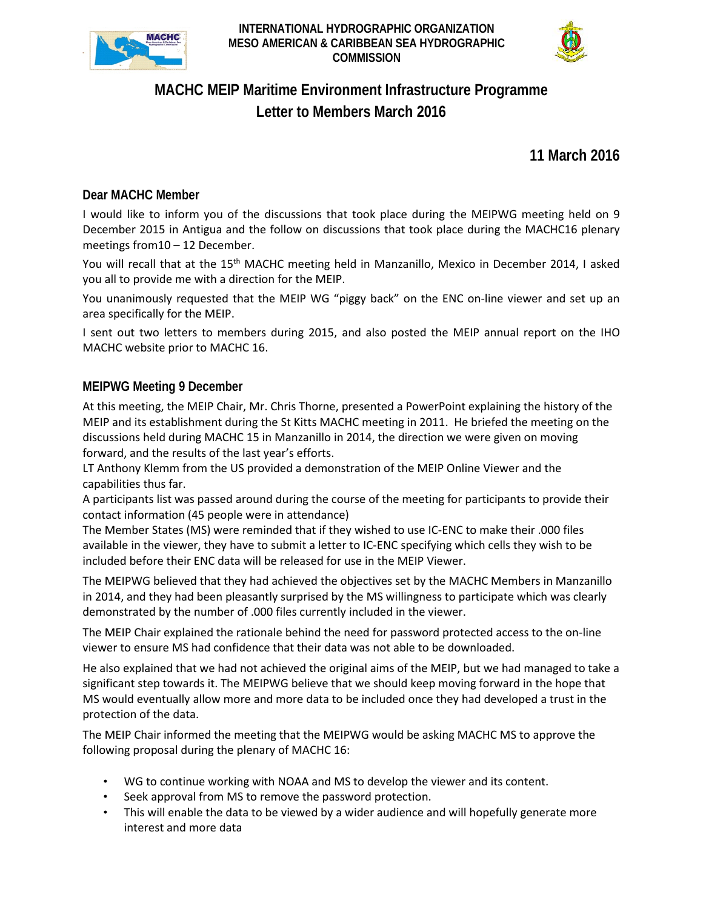

**INTERNATIONAL HYDROGRAPHIC ORGANIZATION MESO AMERICAN & CARIBBEAN SEA HYDROGRAPHIC COMMISSION**



# **MACHC MEIP Maritime Environment Infrastructure Programme Letter to Members March 2016**

**11 March 2016**

## **Dear MACHC Member**

I would like to inform you of the discussions that took place during the MEIPWG meeting held on 9 December 2015 in Antigua and the follow on discussions that took place during the MACHC16 plenary meetings from10 – 12 December.

You will recall that at the 15<sup>th</sup> MACHC meeting held in Manzanillo, Mexico in December 2014, I asked you all to provide me with a direction for the MEIP.

You unanimously requested that the MEIP WG "piggy back" on the ENC on-line viewer and set up an area specifically for the MEIP.

I sent out two letters to members during 2015, and also posted the MEIP annual report on the IHO MACHC website prior to MACHC 16.

## **MEIPWG Meeting 9 December**

At this meeting, the MEIP Chair, Mr. Chris Thorne, presented a PowerPoint explaining the history of the MEIP and its establishment during the St Kitts MACHC meeting in 2011. He briefed the meeting on the discussions held during MACHC 15 in Manzanillo in 2014, the direction we were given on moving forward, and the results of the last year's efforts.

LT Anthony Klemm from the US provided a demonstration of the MEIP Online Viewer and the capabilities thus far.

A participants list was passed around during the course of the meeting for participants to provide their contact information (45 people were in attendance)

The Member States (MS) were reminded that if they wished to use IC-ENC to make their .000 files available in the viewer, they have to submit a letter to IC-ENC specifying which cells they wish to be included before their ENC data will be released for use in the MEIP Viewer.

The MEIPWG believed that they had achieved the objectives set by the MACHC Members in Manzanillo in 2014, and they had been pleasantly surprised by the MS willingness to participate which was clearly demonstrated by the number of .000 files currently included in the viewer.

The MEIP Chair explained the rationale behind the need for password protected access to the on-line viewer to ensure MS had confidence that their data was not able to be downloaded.

He also explained that we had not achieved the original aims of the MEIP, but we had managed to take a significant step towards it. The MEIPWG believe that we should keep moving forward in the hope that MS would eventually allow more and more data to be included once they had developed a trust in the protection of the data.

The MEIP Chair informed the meeting that the MEIPWG would be asking MACHC MS to approve the following proposal during the plenary of MACHC 16:

- WG to continue working with NOAA and MS to develop the viewer and its content.
- Seek approval from MS to remove the password protection.
- This will enable the data to be viewed by a wider audience and will hopefully generate more interest and more data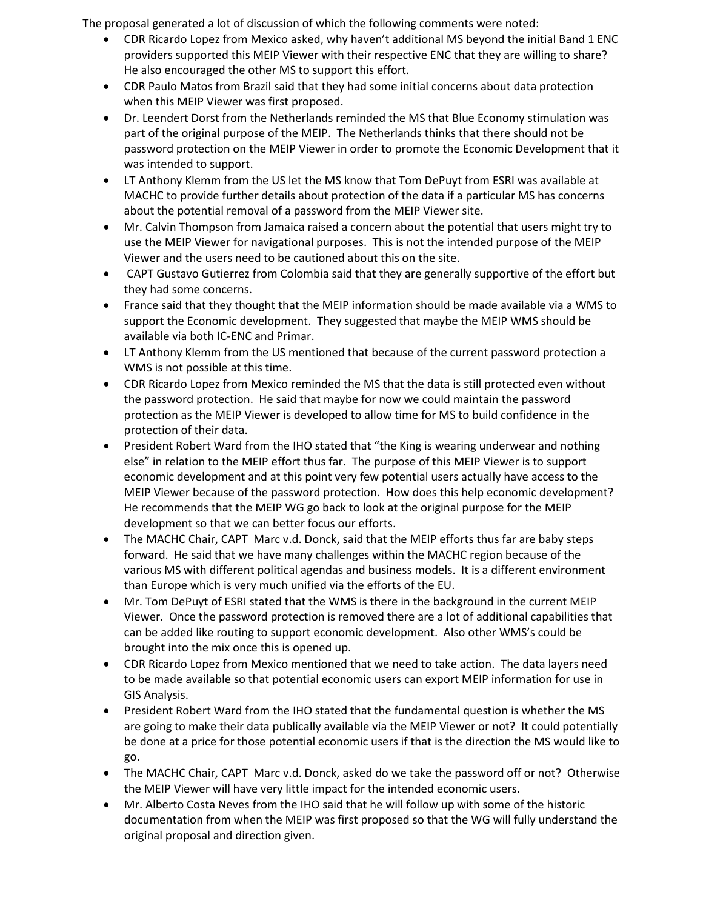The proposal generated a lot of discussion of which the following comments were noted:

- CDR Ricardo Lopez from Mexico asked, why haven't additional MS beyond the initial Band 1 ENC providers supported this MEIP Viewer with their respective ENC that they are willing to share? He also encouraged the other MS to support this effort.
- CDR Paulo Matos from Brazil said that they had some initial concerns about data protection when this MEIP Viewer was first proposed.
- Dr. Leendert Dorst from the Netherlands reminded the MS that Blue Economy stimulation was part of the original purpose of the MEIP. The Netherlands thinks that there should not be password protection on the MEIP Viewer in order to promote the Economic Development that it was intended to support.
- LT Anthony Klemm from the US let the MS know that Tom DePuyt from ESRI was available at MACHC to provide further details about protection of the data if a particular MS has concerns about the potential removal of a password from the MEIP Viewer site.
- Mr. Calvin Thompson from Jamaica raised a concern about the potential that users might try to use the MEIP Viewer for navigational purposes. This is not the intended purpose of the MEIP Viewer and the users need to be cautioned about this on the site.
- CAPT Gustavo Gutierrez from Colombia said that they are generally supportive of the effort but they had some concerns.
- France said that they thought that the MEIP information should be made available via a WMS to support the Economic development. They suggested that maybe the MEIP WMS should be available via both IC-ENC and Primar.
- LT Anthony Klemm from the US mentioned that because of the current password protection a WMS is not possible at this time.
- CDR Ricardo Lopez from Mexico reminded the MS that the data is still protected even without the password protection. He said that maybe for now we could maintain the password protection as the MEIP Viewer is developed to allow time for MS to build confidence in the protection of their data.
- President Robert Ward from the IHO stated that "the King is wearing underwear and nothing else" in relation to the MEIP effort thus far. The purpose of this MEIP Viewer is to support economic development and at this point very few potential users actually have access to the MEIP Viewer because of the password protection. How does this help economic development? He recommends that the MEIP WG go back to look at the original purpose for the MEIP development so that we can better focus our efforts.
- The MACHC Chair, CAPT Marc v.d. Donck, said that the MEIP efforts thus far are baby steps forward. He said that we have many challenges within the MACHC region because of the various MS with different political agendas and business models. It is a different environment than Europe which is very much unified via the efforts of the EU.
- Mr. Tom DePuyt of ESRI stated that the WMS is there in the background in the current MEIP Viewer. Once the password protection is removed there are a lot of additional capabilities that can be added like routing to support economic development. Also other WMS's could be brought into the mix once this is opened up.
- CDR Ricardo Lopez from Mexico mentioned that we need to take action. The data layers need to be made available so that potential economic users can export MEIP information for use in GIS Analysis.
- President Robert Ward from the IHO stated that the fundamental question is whether the MS are going to make their data publically available via the MEIP Viewer or not? It could potentially be done at a price for those potential economic users if that is the direction the MS would like to go.
- The MACHC Chair, CAPT Marc v.d. Donck, asked do we take the password off or not? Otherwise the MEIP Viewer will have very little impact for the intended economic users.
- Mr. Alberto Costa Neves from the IHO said that he will follow up with some of the historic documentation from when the MEIP was first proposed so that the WG will fully understand the original proposal and direction given.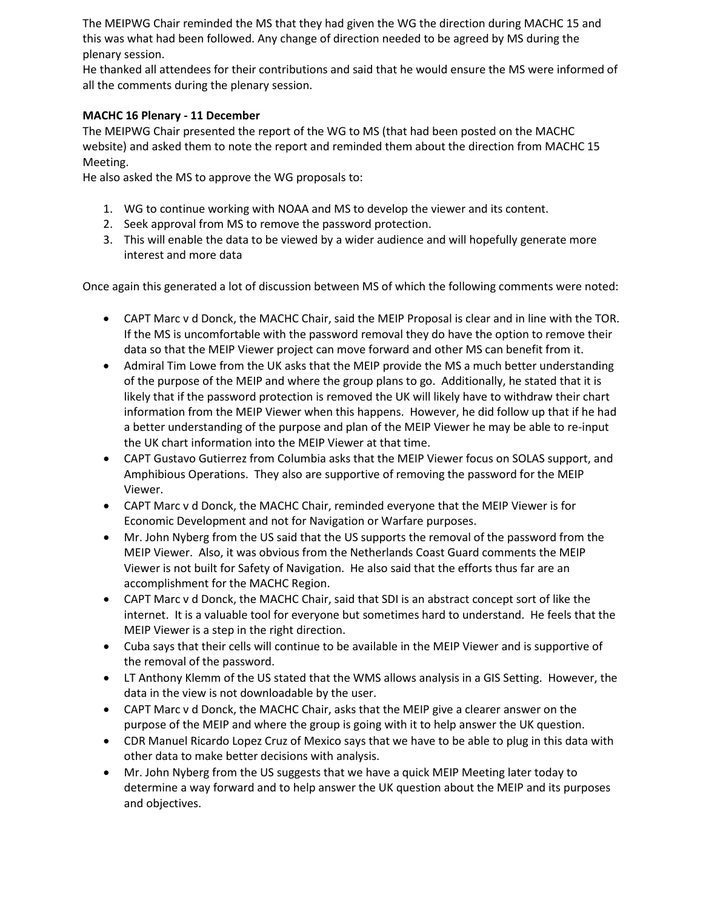The MEIPWG Chair reminded the MS that they had given the WG the direction during MACHC 15 and this was what had been followed. Any change of direction needed to be agreed by MS during the plenary session.

He thanked all attendees for their contributions and said that he would ensure the MS were informed of all the comments during the plenary session.

### **MACHC 16 Plenary - 11 December**

The MEIPWG Chair presented the report of the WG to MS (that had been posted on the MACHC website) and asked them to note the report and reminded them about the direction from MACHC 15 Meeting.

He also asked the MS to approve the WG proposals to:

- 1. WG to continue working with NOAA and MS to develop the viewer and its content.
- 2. Seek approval from MS to remove the password protection.
- 3. This will enable the data to be viewed by a wider audience and will hopefully generate more interest and more data

Once again this generated a lot of discussion between MS of which the following comments were noted:

- CAPT Marc v d Donck, the MACHC Chair, said the MEIP Proposal is clear and in line with the TOR. If the MS is uncomfortable with the password removal they do have the option to remove their data so that the MEIP Viewer project can move forward and other MS can benefit from it.
- Admiral Tim Lowe from the UK asks that the MEIP provide the MS a much better understanding of the purpose of the MEIP and where the group plans to go. Additionally, he stated that it is likely that if the password protection is removed the UK will likely have to withdraw their chart information from the MEIP Viewer when this happens. However, he did follow up that if he had a better understanding of the purpose and plan of the MEIP Viewer he may be able to re-input the UK chart information into the MEIP Viewer at that time.
- CAPT Gustavo Gutierrez from Columbia asks that the MEIP Viewer focus on SOLAS support, and Amphibious Operations. They also are supportive of removing the password for the MEIP Viewer.
- CAPT Marc v d Donck, the MACHC Chair, reminded everyone that the MEIP Viewer is for Economic Development and not for Navigation or Warfare purposes.
- Mr. John Nyberg from the US said that the US supports the removal of the password from the MEIP Viewer. Also, it was obvious from the Netherlands Coast Guard comments the MEIP Viewer is not built for Safety of Navigation. He also said that the efforts thus far are an accomplishment for the MACHC Region.
- CAPT Marc v d Donck, the MACHC Chair, said that SDI is an abstract concept sort of like the internet. It is a valuable tool for everyone but sometimes hard to understand. He feels that the MEIP Viewer is a step in the right direction.
- Cuba says that their cells will continue to be available in the MEIP Viewer and is supportive of the removal of the password.
- LT Anthony Klemm of the US stated that the WMS allows analysis in a GIS Setting. However, the data in the view is not downloadable by the user.
- CAPT Marc v d Donck, the MACHC Chair, asks that the MEIP give a clearer answer on the purpose of the MEIP and where the group is going with it to help answer the UK question.
- CDR Manuel Ricardo Lopez Cruz of Mexico says that we have to be able to plug in this data with other data to make better decisions with analysis.
- Mr. John Nyberg from the US suggests that we have a quick MEIP Meeting later today to determine a way forward and to help answer the UK question about the MEIP and its purposes and objectives.